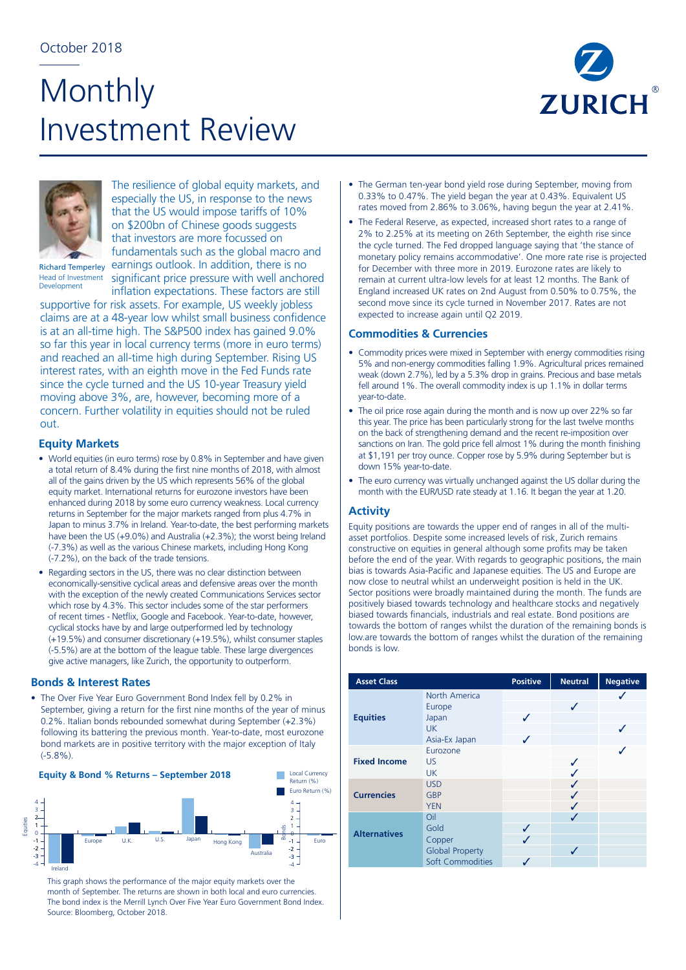# **Monthly** Investment Review





The resilience of global equity markets, and especially the US, in response to the news that the US would impose tariffs of 10% on \$200bn of Chinese goods suggests that investors are more focussed on fundamentals such as the global macro and earnings outlook. In addition, there is no significant price pressure with well anchored

Richard Temperley Head of Investment Development

inflation expectations. These factors are still supportive for risk assets. For example, US weekly jobless claims are at a 48-year low whilst small business confidence is at an all-time high. The S&P500 index has gained 9.0% so far this year in local currency terms (more in euro terms) and reached an all-time high during September. Rising US interest rates, with an eighth move in the Fed Funds rate since the cycle turned and the US 10-year Treasury yield moving above 3%, are, however, becoming more of a concern. Further volatility in equities should not be ruled out.

### **Equity Markets**

- World equities (in euro terms) rose by 0.8% in September and have given a total return of 8.4% during the first nine months of 2018, with almost all of the gains driven by the US which represents 56% of the global equity market. International returns for eurozone investors have been enhanced during 2018 by some euro currency weakness. Local currency returns in September for the major markets ranged from plus 4.7% in Japan to minus 3.7% in Ireland. Year-to-date, the best performing markets have been the US (+9.0%) and Australia (+2.3%); the worst being Ireland (-7.3%) as well as the various Chinese markets, including Hong Kong (-7.2%), on the back of the trade tensions.
- Regarding sectors in the US, there was no clear distinction between economically-sensitive cyclical areas and defensive areas over the month with the exception of the newly created Communications Services sector which rose by 4.3%. This sector includes some of the star performers of recent times - Netflix, Google and Facebook. Year-to-date, however, cyclical stocks have by and large outperformed led by technology (+19.5%) and consumer discretionary (+19.5%), whilst consumer staples (-5.5%) are at the bottom of the league table. These large divergences give active managers, like Zurich, the opportunity to outperform.

#### **Bonds & Interest Rates**

• The Over Five Year Euro Government Bond Index fell by 0.2% in September, giving a return for the first nine months of the year of minus 0.2%. Italian bonds rebounded somewhat during September (+2.3%) following its battering the previous month. Year-to-date, most eurozone bond markets are in positive territory with the major exception of Italy (-5.8%).



This graph shows the performance of the major equity markets over the month of September. The returns are shown in both local and euro currencies. Source: Bloomberg, October 2018.

- The German ten-year bond yield rose during September, moving from 0.33% to 0.47%. The yield began the year at 0.43%. Equivalent US rates moved from 2.86% to 3.06%, having begun the year at 2.41%.
- The Federal Reserve, as expected, increased short rates to a range of 2% to 2.25% at its meeting on 26th September, the eighth rise since the cycle turned. The Fed dropped language saying that 'the stance of monetary policy remains accommodative'. One more rate rise is projected for December with three more in 2019. Eurozone rates are likely to remain at current ultra-low levels for at least 12 months. The Bank of England increased UK rates on 2nd August from 0.50% to 0.75%, the second move since its cycle turned in November 2017. Rates are not expected to increase again until Q2 2019.

### **Commodities & Currencies**

- Commodity prices were mixed in September with energy commodities rising 5% and non-energy commodities falling 1.9%. Agricultural prices remained weak (down 2.7%), led by a 5.3% drop in grains. Precious and base metals fell around 1%. The overall commodity index is up 1.1% in dollar terms year-to-date.
- The oil price rose again during the month and is now up over 22% so far this year. The price has been particularly strong for the last twelve months on the back of strengthening demand and the recent re-imposition over sanctions on Iran. The gold price fell almost 1% during the month finishing at \$1,191 per troy ounce. Copper rose by 5.9% during September but is down 15% year-to-date.
- The euro currency was virtually unchanged against the US dollar during the month with the EUR/USD rate steady at 1.16. It began the year at 1.20.

## **Activity**

Equity positions are towards the upper end of ranges in all of the multiasset portfolios. Despite some increased levels of risk, Zurich remains constructive on equities in general although some profits may be taken before the end of the year. With regards to geographic positions, the main bias is towards Asia-Pacific and Japanese equities. The US and Europe are now close to neutral whilst an underweight position is held in the UK. Sector positions were broadly maintained during the month. The funds are positively biased towards technology and healthcare stocks and negatively biased towards financials, industrials and real estate. Bond positions are towards the bottom of ranges whilst the duration of the remaining bonds is low.are towards the bottom of ranges whilst the duration of the remaining bonds is low.

| <b>Asset Class</b>  |                                                                            | <b>Positive</b> | <b>Neutral</b> | <b>Negative</b> |
|---------------------|----------------------------------------------------------------------------|-----------------|----------------|-----------------|
| <b>Equities</b>     | North America<br>Europe<br>Japan<br>UK.<br>Asia-Ex Japan                   | J<br>✓          |                |                 |
| <b>Fixed Income</b> | Eurozone<br>US<br><b>UK</b>                                                |                 | ✓              |                 |
| <b>Currencies</b>   | <b>USD</b><br><b>GBP</b><br><b>YEN</b>                                     |                 |                |                 |
| <b>Alternatives</b> | Oil<br>Gold<br>Copper<br><b>Global Property</b><br><b>Soft Commodities</b> | ✓<br>✓          |                |                 |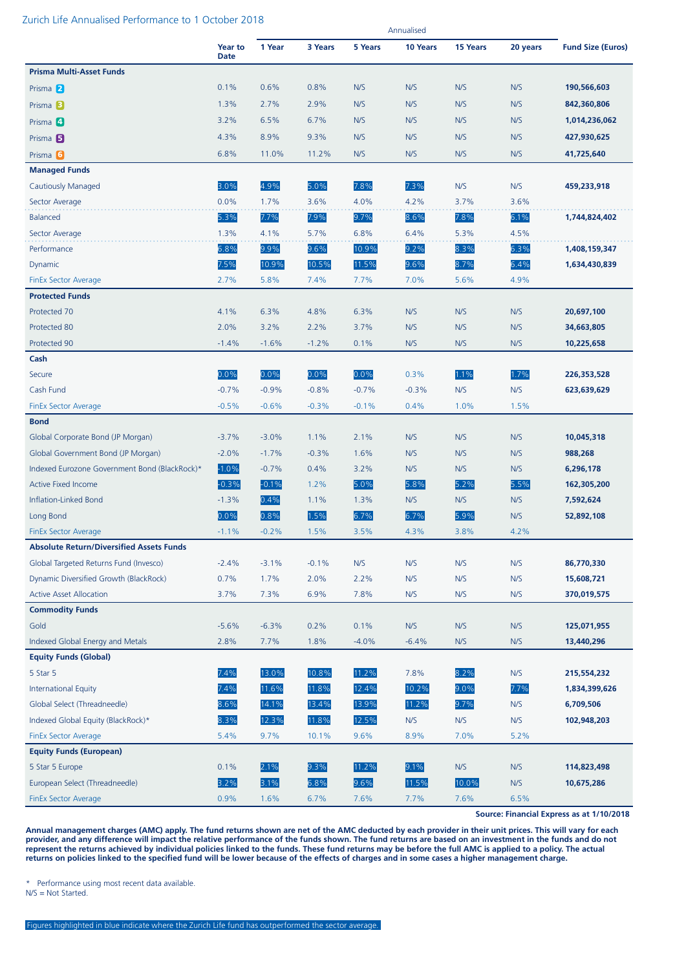#### Zurich Life Annualised Performance to 1 October 2018

|                                                 |                        |         |         |         | Annualised |          |          |                          |
|-------------------------------------------------|------------------------|---------|---------|---------|------------|----------|----------|--------------------------|
|                                                 | Year to<br><b>Date</b> | 1 Year  | 3 Years | 5 Years | 10 Years   | 15 Years | 20 years | <b>Fund Size (Euros)</b> |
| <b>Prisma Multi-Asset Funds</b>                 |                        |         |         |         |            |          |          |                          |
| Prisma 2                                        | 0.1%                   | 0.6%    | 0.8%    | N/S     | N/S        | N/S      | N/S      | 190,566,603              |
| Prisma <sup>3</sup>                             | 1.3%                   | 2.7%    | 2.9%    | N/S     | N/S        | N/S      | N/S      | 842,360,806              |
| Prisma 4                                        | 3.2%                   | 6.5%    | 6.7%    | N/S     | N/S        | N/S      | N/S      | 1,014,236,062            |
| Prisma <sub>5</sub>                             | 4.3%                   | 8.9%    | 9.3%    | N/S     | N/S        | N/S      | N/S      | 427,930,625              |
| Prisma 6                                        | 6.8%                   | 11.0%   | 11.2%   | N/S     | N/S        | N/S      | N/S      | 41,725,640               |
| <b>Managed Funds</b>                            |                        |         |         |         |            |          |          |                          |
| <b>Cautiously Managed</b>                       | 3.0%                   | 4.9%    | 5.0%    | 7.8%    | 7.3%       | N/S      | N/S      | 459,233,918              |
| Sector Average                                  | 0.0%                   | 1.7%    | 3.6%    | 4.0%    | 4.2%       | 3.7%     | 3.6%     |                          |
| <b>Balanced</b>                                 | 5.3%                   | 7.7%    | 7.9%    | 9.7%    | 8.6%       | 7.8%     | 6.1%     | 1,744,824,402            |
| Sector Average                                  | 1.3%                   | 4.1%    | 5.7%    | 6.8%    | 6.4%       | 5.3%     | 4.5%     |                          |
| Performance                                     | 6.8%                   | 9.9%    | 9.6%    | 10.9%   | 9.2%       | 8.3%     | 6.3%     | 1,408,159,347            |
| Dynamic                                         | 7.5%                   | 10.9%   | 10.5%   | 11.5%   | 9.6%       | 8.7%     | 6.4%     | 1,634,430,839            |
| <b>FinEx Sector Average</b>                     | 2.7%                   | 5.8%    | 7.4%    | 7.7%    | 7.0%       | 5.6%     | 4.9%     |                          |
| <b>Protected Funds</b>                          |                        |         |         |         |            |          |          |                          |
| Protected 70                                    | 4.1%                   | 6.3%    | 4.8%    | 6.3%    | N/S        | N/S      | N/S      | 20,697,100               |
| Protected 80                                    | 2.0%                   | 3.2%    | 2.2%    | 3.7%    | N/S        | N/S      | N/S      | 34,663,805               |
| Protected 90                                    | $-1.4%$                | $-1.6%$ | $-1.2%$ | 0.1%    | N/S        | N/S      | N/S      | 10,225,658               |
| Cash                                            |                        |         |         |         |            |          |          |                          |
| Secure                                          | 0.0%                   | 0.0%    | 0.0%    | 0.0%    | 0.3%       | 1.1%     | 1.7%     | 226,353,528              |
| Cash Fund                                       | $-0.7%$                | $-0.9%$ | $-0.8%$ | $-0.7%$ | $-0.3%$    | N/S      | N/S      | 623,639,629              |
| <b>FinEx Sector Average</b>                     | $-0.5%$                | $-0.6%$ | $-0.3%$ | $-0.1%$ | 0.4%       | 1.0%     | 1.5%     |                          |
| <b>Bond</b>                                     |                        |         |         |         |            |          |          |                          |
| Global Corporate Bond (JP Morgan)               | $-3.7%$                | $-3.0%$ | 1.1%    | 2.1%    | N/S        | N/S      | N/S      | 10,045,318               |
| Global Government Bond (JP Morgan)              | $-2.0%$                | $-1.7%$ | $-0.3%$ | 1.6%    | N/S        | N/S      | N/S      | 988,268                  |
| Indexed Eurozone Government Bond (BlackRock)*   | $-1.0%$                | $-0.7%$ | 0.4%    | 3.2%    | N/S        | N/S      | N/S      | 6,296,178                |
| <b>Active Fixed Income</b>                      | $-0.3%$                | $-0.1%$ | 1.2%    | 5.0%    | 5.8%       | 5.2%     | 5.5%     | 162,305,200              |
| Inflation-Linked Bond                           | $-1.3%$                | 0.4%    | 1.1%    | 1.3%    | N/S        | N/S      | N/S      | 7,592,624                |
| Long Bond                                       | 0.0%                   | 0.8%    | 1.5%    | 6.7%    | 6.7%       | 5.9%     | N/S      | 52,892,108               |
| <b>FinEx Sector Average</b>                     | $-1.1%$                | $-0.2%$ | 1.5%    | 3.5%    | 4.3%       | 3.8%     | 4.2%     |                          |
| <b>Absolute Return/Diversified Assets Funds</b> |                        |         |         |         |            |          |          |                          |
| Global Targeted Returns Fund (Invesco)          | $-2.4%$                | $-3.1%$ | $-0.1%$ | N/S     | N/S        | N/S      | N/S      | 86,770,330               |
| Dynamic Diversified Growth (BlackRock)          | 0.7%                   | 1.7%    | 2.0%    | 2.2%    | N/S        | N/S      | N/S      | 15,608,721               |
| <b>Active Asset Allocation</b>                  | 3.7%                   | 7.3%    | 6.9%    | 7.8%    | N/S        | N/S      | N/S      | 370,019,575              |
| <b>Commodity Funds</b>                          |                        |         |         |         |            |          |          |                          |
| Gold                                            | $-5.6%$                | $-6.3%$ | 0.2%    | 0.1%    | N/S        | N/S      | N/S      | 125,071,955              |
| Indexed Global Energy and Metals                | 2.8%                   | 7.7%    | 1.8%    | $-4.0%$ | $-6.4%$    | N/S      | N/S      | 13,440,296               |
| <b>Equity Funds (Global)</b>                    |                        |         |         |         |            |          |          |                          |
| 5 Star 5                                        | 7.4%                   | 13.0%   | 10.8%   | 11.2%   | 7.8%       | 8.2%     | N/S      | 215,554,232              |
| <b>International Equity</b>                     | 7.4%                   | 11.6%   | 11.8%   | 12.4%   | 10.2%      | 9.0%     | 7.7%     | 1,834,399,626            |
| Global Select (Threadneedle)                    | 8.6%                   | 14.1%   | 13.4%   | 13.9%   | 11.2%      | 9.7%     | N/S      | 6,709,506                |
| Indexed Global Equity (BlackRock)*              | 8.3%                   | 12.3%   | 11.8%   | 12.5%   | N/S        | N/S      | N/S      | 102,948,203              |
| FinEx Sector Average                            | 5.4%                   | 9.7%    | 10.1%   | 9.6%    | 8.9%       | 7.0%     | 5.2%     |                          |
| <b>Equity Funds (European)</b>                  |                        |         |         |         |            |          |          |                          |
| 5 Star 5 Europe                                 | 0.1%                   | 2.1%    | 9.3%    | 11.2%   | 9.1%       | N/S      | N/S      | 114,823,498              |
| European Select (Threadneedle)                  | 3.2%                   | 3.1%    | 6.8%    | 9.6%    | 11.5%      | 10.0%    | N/S      | 10,675,286               |
| <b>FinEx Sector Average</b>                     | 0.9%                   | 1.6%    | 6.7%    | 7.6%    | 7.7%       | 7.6%     | 6.5%     |                          |

**Source: Financial Express as at 1/10/2018**

**Annual management charges (AMC) apply. The fund returns shown are net of the AMC deducted by each provider in their unit prices. This will vary for each provider, and any difference will impact the relative performance of the funds shown. The fund returns are based on an investment in the funds and do not represent the returns achieved by individual policies linked to the funds. These fund returns may be before the full AMC is applied to a policy. The actual returns on policies linked to the specified fund will be lower because of the effects of charges and in some cases a higher management charge.**

\* Performance using most recent data available.

N/S = Not Started.

Figures highlighted in blue indicate where the Zurich Life fund has outperformed the sector average.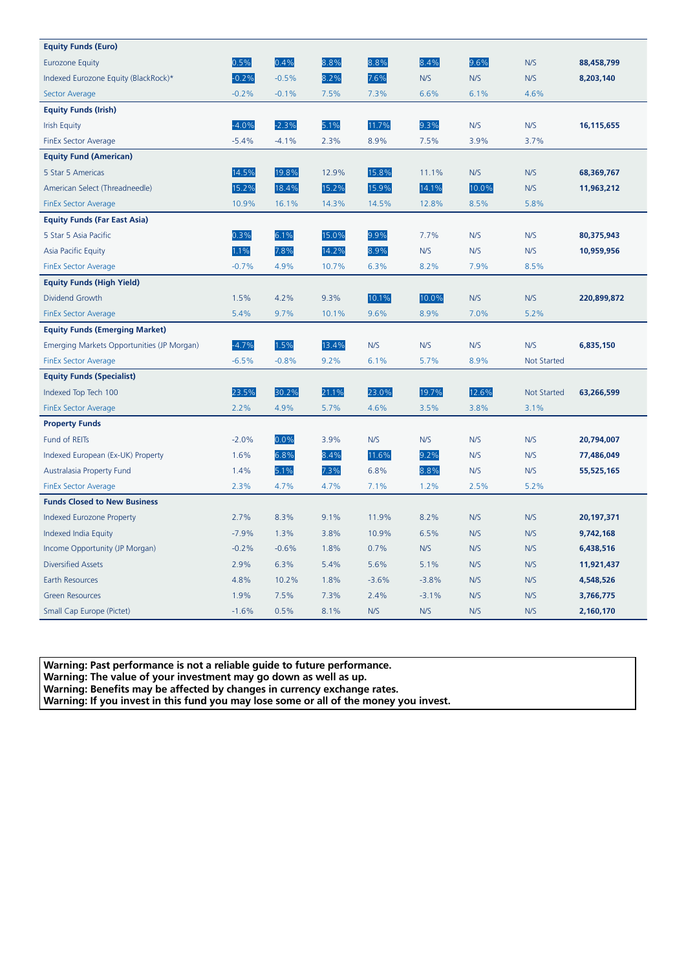| <b>Equity Funds (Euro)</b>                 |         |         |       |         |         |       |             |             |
|--------------------------------------------|---------|---------|-------|---------|---------|-------|-------------|-------------|
| <b>Eurozone Equity</b>                     | 0.5%    | 0.4%    | 8.8%  | 8.8%    | 8.4%    | 9.6%  | N/S         | 88,458,799  |
| Indexed Eurozone Equity (BlackRock)*       | $-0.2%$ | $-0.5%$ | 8.2%  | 7.6%    | N/S     | N/S   | N/S         | 8,203,140   |
| Sector Average                             | $-0.2%$ | $-0.1%$ | 7.5%  | 7.3%    | 6.6%    | 6.1%  | 4.6%        |             |
| <b>Equity Funds (Irish)</b>                |         |         |       |         |         |       |             |             |
| <b>Irish Equity</b>                        | $-4.0%$ | $-2.3%$ | 5.1%  | 11.7%   | 9.3%    | N/S   | N/S         | 16,115,655  |
| FinEx Sector Average                       | $-5.4%$ | $-4.1%$ | 2.3%  | 8.9%    | 7.5%    | 3.9%  | 3.7%        |             |
| <b>Equity Fund (American)</b>              |         |         |       |         |         |       |             |             |
| 5 Star 5 Americas                          | 14.5%   | 19.8%   | 12.9% | 15.8%   | 11.1%   | N/S   | N/S         | 68,369,767  |
| American Select (Threadneedle)             | 15.2%   | 18.4%   | 15.2% | 15.9%   | 14.1%   | 10.0% | N/S         | 11,963,212  |
| <b>FinEx Sector Average</b>                | 10.9%   | 16.1%   | 14.3% | 14.5%   | 12.8%   | 8.5%  | 5.8%        |             |
| <b>Equity Funds (Far East Asia)</b>        |         |         |       |         |         |       |             |             |
| 5 Star 5 Asia Pacific                      | 0.3%    | 6.1%    | 15.0% | 9.9%    | 7.7%    | N/S   | N/S         | 80,375,943  |
| Asia Pacific Equity                        | 1.1%    | 7.8%    | 14.2% | 8.9%    | N/S     | N/S   | N/S         | 10,959,956  |
| <b>FinEx Sector Average</b>                | $-0.7%$ | 4.9%    | 10.7% | 6.3%    | 8.2%    | 7.9%  | 8.5%        |             |
| <b>Equity Funds (High Yield)</b>           |         |         |       |         |         |       |             |             |
| Dividend Growth                            | 1.5%    | 4.2%    | 9.3%  | 10.1%   | 10.0%   | N/S   | N/S         | 220,899,872 |
| <b>FinEx Sector Average</b>                | 5.4%    | 9.7%    | 10.1% | 9.6%    | 8.9%    | 7.0%  | 5.2%        |             |
| <b>Equity Funds (Emerging Market)</b>      |         |         |       |         |         |       |             |             |
| Emerging Markets Opportunities (JP Morgan) | $-4.7%$ | 1.5%    | 13.4% | N/S     | N/S     | N/S   | N/S         | 6,835,150   |
| <b>FinEx Sector Average</b>                | $-6.5%$ | $-0.8%$ | 9.2%  | 6.1%    | 5.7%    | 8.9%  | Not Started |             |
| <b>Equity Funds (Specialist)</b>           |         |         |       |         |         |       |             |             |
| Indexed Top Tech 100                       | 23.5%   | 30.2%   | 21.1% | 23.0%   | 19.7%   | 12.6% | Not Started | 63,266,599  |
| <b>FinEx Sector Average</b>                | 2.2%    | 4.9%    | 5.7%  | 4.6%    | 3.5%    | 3.8%  | 3.1%        |             |
| <b>Property Funds</b>                      |         |         |       |         |         |       |             |             |
| Fund of REITS                              | $-2.0%$ | 0.0%    | 3.9%  | N/S     | N/S     | N/S   | N/S         | 20,794,007  |
| Indexed European (Ex-UK) Property          | 1.6%    | 6.8%    | 8.4%  | 11.6%   | 9.2%    | N/S   | N/S         | 77,486,049  |
| Australasia Property Fund                  | 1.4%    | 5.1%    | 7.3%  | 6.8%    | 8.8%    | N/S   | N/S         | 55,525,165  |
| FinEx Sector Average                       | 2.3%    | 4.7%    | 4.7%  | 7.1%    | 1.2%    | 2.5%  | 5.2%        |             |
| <b>Funds Closed to New Business</b>        |         |         |       |         |         |       |             |             |
| Indexed Eurozone Property                  | 2.7%    | 8.3%    | 9.1%  | 11.9%   | 8.2%    | N/S   | N/S         | 20,197,371  |
| Indexed India Equity                       | $-7.9%$ | 1.3%    | 3.8%  | 10.9%   | 6.5%    | N/S   | N/S         | 9,742,168   |
| Income Opportunity (JP Morgan)             | $-0.2%$ | $-0.6%$ | 1.8%  | 0.7%    | N/S     | N/S   | N/S         | 6,438,516   |
| <b>Diversified Assets</b>                  | 2.9%    | 6.3%    | 5.4%  | 5.6%    | 5.1%    | N/S   | N/S         | 11,921,437  |
| Earth Resources                            | 4.8%    | 10.2%   | 1.8%  | $-3.6%$ | $-3.8%$ | N/S   | N/S         | 4,548,526   |
| <b>Green Resources</b>                     | 1.9%    | 7.5%    | 7.3%  | 2.4%    | $-3.1%$ | N/S   | N/S         | 3,766,775   |
| Small Cap Europe (Pictet)                  | $-1.6%$ | 0.5%    | 8.1%  | N/S     | N/S     | N/S   | N/S         | 2,160,170   |

**Warning: Past performance is not a reliable guide to future performance.** 

**Warning: The value of your investment may go down as well as up.** 

**Warning: Benefits may be affected by changes in currency exchange rates.** 

**Warning: If you invest in this fund you may lose some or all of the money you invest.**